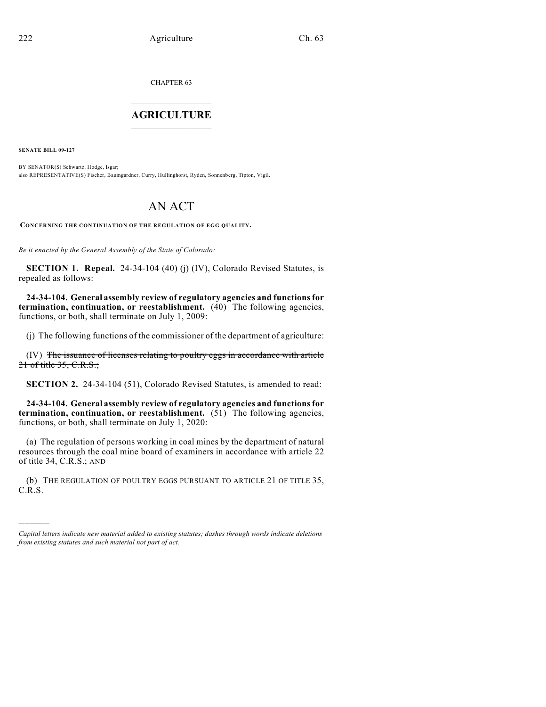CHAPTER 63  $\overline{\phantom{a}}$  . The set of the set of the set of the set of the set of the set of the set of the set of the set of the set of the set of the set of the set of the set of the set of the set of the set of the set of the set o

## **AGRICULTURE**  $\_$   $\_$   $\_$   $\_$   $\_$   $\_$   $\_$   $\_$

**SENATE BILL 09-127**

)))))

BY SENATOR(S) Schwartz, Hodge, Isgar; also REPRESENTATIVE(S) Fischer, Baumgardner, Curry, Hullinghorst, Ryden, Sonnenberg, Tipton, Vigil.

## AN ACT

**CONCERNING THE CONTINUATION OF THE REGULATION OF EGG QUALITY.**

*Be it enacted by the General Assembly of the State of Colorado:*

**SECTION 1. Repeal.** 24-34-104 (40) (j) (IV), Colorado Revised Statutes, is repealed as follows:

**24-34-104. General assembly review of regulatory agencies and functions for termination, continuation, or reestablishment.** (40) The following agencies, functions, or both, shall terminate on July 1, 2009:

(j) The following functions of the commissioner of the department of agriculture:

(IV) The issuance of licenses relating to poultry eggs in accordance with article 21 of title 35, C.R.S.;

**SECTION 2.** 24-34-104 (51), Colorado Revised Statutes, is amended to read:

**24-34-104. General assembly review of regulatory agencies and functions for termination, continuation, or reestablishment.** (51) The following agencies, functions, or both, shall terminate on July 1, 2020:

(a) The regulation of persons working in coal mines by the department of natural resources through the coal mine board of examiners in accordance with article 22 of title 34, C.R.S.; AND

(b) THE REGULATION OF POULTRY EGGS PURSUANT TO ARTICLE 21 OF TITLE 35, C.R.S.

*Capital letters indicate new material added to existing statutes; dashes through words indicate deletions from existing statutes and such material not part of act.*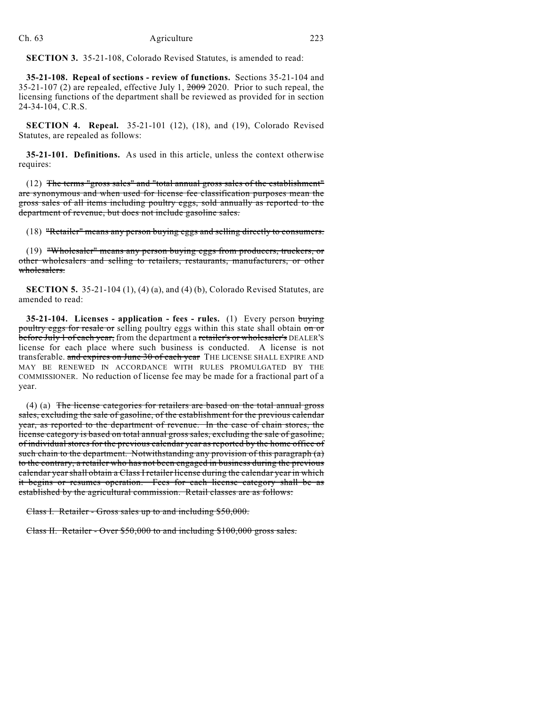**SECTION 3.** 35-21-108, Colorado Revised Statutes, is amended to read:

**35-21-108. Repeal of sections - review of functions.** Sections 35-21-104 and 35-21-107 (2) are repealed, effective July 1, 2009 2020. Prior to such repeal, the licensing functions of the department shall be reviewed as provided for in section 24-34-104, C.R.S.

**SECTION 4. Repeal.** 35-21-101 (12), (18), and (19), Colorado Revised Statutes, are repealed as follows:

**35-21-101. Definitions.** As used in this article, unless the context otherwise requires:

(12) The terms "gross sales" and "total annual gross sales of the establishment" are synonymous and when used for license fee classification purposes mean the gross sales of all items including poultry eggs, sold annually as reported to the department of revenue, but does not include gasoline sales.

(18) "Retailer" means any person buying eggs and selling directly to consumers.

(19) "Wholesaler" means any person buying eggs from producers, truckers, or other wholesalers and selling to retailers, restaurants, manufacturers, or other wholesalers.

**SECTION 5.** 35-21-104 (1), (4) (a), and (4) (b), Colorado Revised Statutes, are amended to read:

**35-21-104. Licenses - application - fees - rules.** (1) Every person buying poultry eggs for resale or selling poultry eggs within this state shall obtain on or before July 1 of each year, from the department a retailer's or wholesaler's DEALER'S license for each place where such business is conducted. A license is not transferable. and expires on June 30 of each year THE LICENSE SHALL EXPIRE AND MAY BE RENEWED IN ACCORDANCE WITH RULES PROMULGATED BY THE COMMISSIONER. No reduction of license fee may be made for a fractional part of a year.

(4) (a) The license categories for retailers are based on the total annual gross sales, excluding the sale of gasoline, of the establishment for the previous calendar year, as reported to the department of revenue. In the case of chain stores, the license category is based on total annual gross sales, excluding the sale of gasoline, of individual stores for the previous calendar year as reported by the home office of such chain to the department. Notwithstanding any provision of this paragraph (a) to the contrary, a retailer who has not been engaged in business during the previous calendar year shall obtain a Class I retailer license during the calendar year in which it begins or resumes operation. Fees for each license category shall be as established by the agricultural commission. Retail classes are as follows:

Class I. Retailer - Gross sales up to and including \$50,000.

Class II. Retailer - Over \$50,000 to and including \$100,000 gross sales.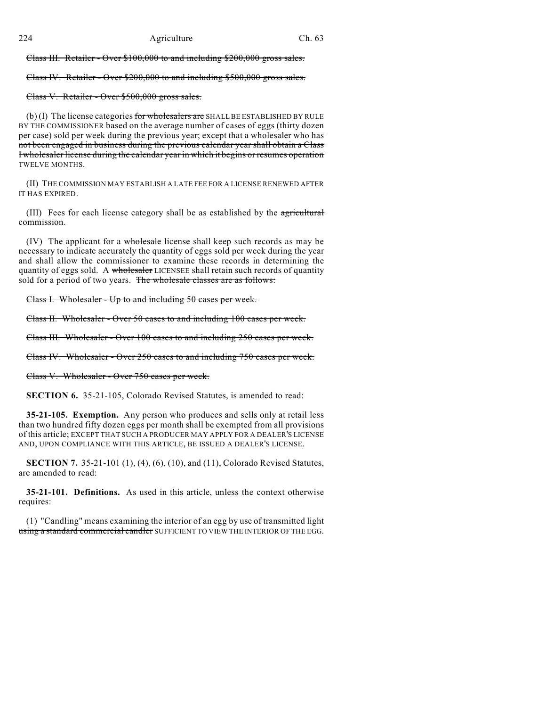Class III. Retailer - Over \$100,000 to and including \$200,000 gross sales.

Class IV. Retailer - Over \$200,000 to and including \$500,000 gross sales.

Class V. Retailer - Over \$500,000 gross sales.

(b) (I) The license categories for wholesalers are SHALL BE ESTABLISHED BY RULE BY THE COMMISSIONER based on the average number of cases of eggs (thirty dozen per case) sold per week during the previous year; except that a wholesaler who has not been engaged in business during the previous calendar year shall obtain a Class I wholesaler license during the calendar year in which it begins or resumes operation TWELVE MONTHS.

(II) THE COMMISSION MAY ESTABLISH A LATE FEE FOR A LICENSE RENEWED AFTER IT HAS EXPIRED.

(III) Fees for each license category shall be as established by the agricultural commission.

(IV) The applicant for a wholesale license shall keep such records as may be necessary to indicate accurately the quantity of eggs sold per week during the year and shall allow the commissioner to examine these records in determining the quantity of eggs sold. A wholesaler LICENSEE shall retain such records of quantity sold for a period of two years. The wholesale classes are as follows:

Class I. Wholesaler - Up to and including 50 cases per week.

Class II. Wholesaler - Over 50 cases to and including 100 cases per week.

Class III. Wholesaler - Over 100 cases to and including 250 cases per week.

Class IV. Wholesaler - Over 250 cases to and including 750 cases per week.

Class V. Wholesaler - Over 750 cases per week.

**SECTION 6.** 35-21-105, Colorado Revised Statutes, is amended to read:

**35-21-105. Exemption.** Any person who produces and sells only at retail less than two hundred fifty dozen eggs per month shall be exempted from all provisions of this article; EXCEPT THAT SUCH A PRODUCER MAY APPLY FOR A DEALER'S LICENSE AND, UPON COMPLIANCE WITH THIS ARTICLE, BE ISSUED A DEALER'S LICENSE.

**SECTION 7.** 35-21-101 (1), (4), (6), (10), and (11), Colorado Revised Statutes, are amended to read:

**35-21-101. Definitions.** As used in this article, unless the context otherwise requires:

(1) "Candling" means examining the interior of an egg by use of transmitted light using a standard commercial candler SUFFICIENT TO VIEW THE INTERIOR OF THE EGG.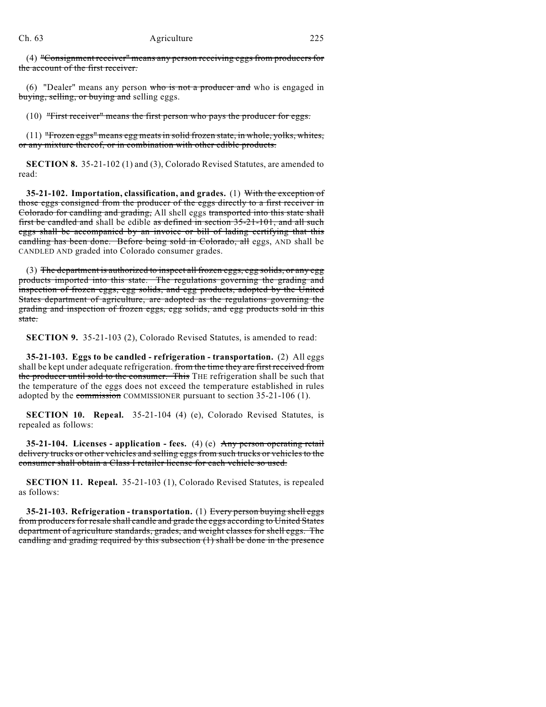(4) "Consignment receiver" means any person receiving eggs from producers for the account of the first receiver.

(6) "Dealer" means any person who is not a producer and who is engaged in buying, selling, or buying and selling eggs.

(10) "First receiver" means the first person who pays the producer for eggs.

(11) "Frozen eggs" means egg meats in solid frozen state, in whole, yolks, whites, or any mixture thereof, or in combination with other edible products.

**SECTION 8.** 35-21-102 (1) and (3), Colorado Revised Statutes, are amended to read:

**35-21-102. Importation, classification, and grades.** (1) With the exception of those eggs consigned from the producer of the eggs directly to a first receiver in Colorado for candling and grading, All shell eggs transported into this state shall first be candled and shall be edible as defined in section 35-21-101, and all such eggs shall be accompanied by an invoice or bill of lading certifying that this candling has been done. Before being sold in Colorado, all eggs, AND shall be CANDLED AND graded into Colorado consumer grades.

(3) The department is authorized to inspect all frozen eggs, egg solids, or any egg products imported into this state. The regulations governing the grading and inspection of frozen eggs, egg solids, and egg products, adopted by the United States department of agriculture, are adopted as the regulations governing the grading and inspection of frozen eggs, egg solids, and egg products sold in this state.

**SECTION 9.** 35-21-103 (2), Colorado Revised Statutes, is amended to read:

**35-21-103. Eggs to be candled - refrigeration - transportation.** (2) All eggs shall be kept under adequate refrigeration. from the time they are first received from the producer until sold to the consumer. This THE refrigeration shall be such that the temperature of the eggs does not exceed the temperature established in rules adopted by the commission COMMISSIONER pursuant to section 35-21-106 (1).

**SECTION 10. Repeal.** 35-21-104 (4) (e), Colorado Revised Statutes, is repealed as follows:

**35-21-104. Licenses - application - fees.** (4) (e) Any person operating retail delivery trucks or other vehicles and selling eggs from such trucks or vehicles to the consumer shall obtain a Class I retailer license for each vehicle so used.

**SECTION 11. Repeal.** 35-21-103 (1), Colorado Revised Statutes, is repealed as follows:

**35-21-103. Refrigeration - transportation.** (1) Every person buying shell eggs from producers for resale shall candle and grade the eggs according to United States department of agriculture standards, grades, and weight classes for shell eggs. The candling and grading required by this subsection (1) shall be done in the presence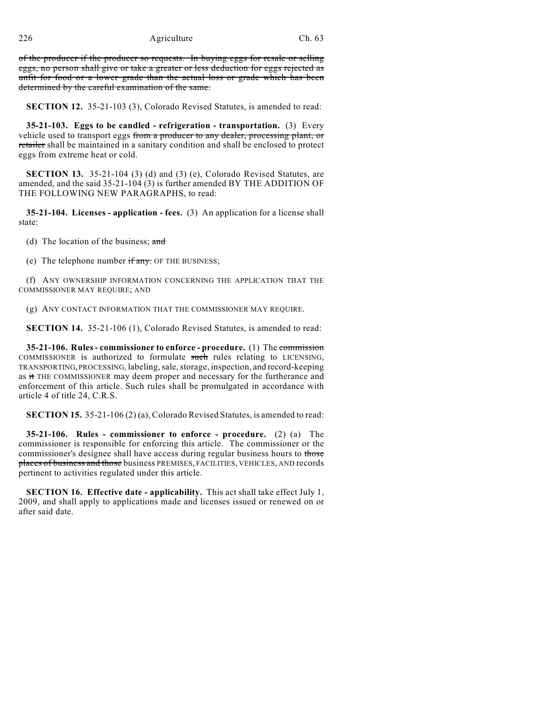of the producer if the producer so requests. In buying eggs for resale or selling eggs, no person shall give or take a greater or less deduction for eggs rejected as unfit for food or a lower grade than the actual loss or grade which has been determined by the careful examination of the same.

**SECTION 12.** 35-21-103 (3), Colorado Revised Statutes, is amended to read:

**35-21-103. Eggs to be candled - refrigeration - transportation.** (3) Every vehicle used to transport eggs from a producer to any dealer, processing plant, or retailer shall be maintained in a sanitary condition and shall be enclosed to protect eggs from extreme heat or cold.

**SECTION 13.** 35-21-104 (3) (d) and (3) (e), Colorado Revised Statutes, are amended, and the said 35-21-104 (3) is further amended BY THE ADDITION OF THE FOLLOWING NEW PARAGRAPHS, to read:

**35-21-104. Licenses - application - fees.** (3) An application for a license shall state:

(d) The location of the business; and

(e) The telephone number  $\overline{if}$  any. OF THE BUSINESS;

(f) ANY OWNERSHIP INFORMATION CONCERNING THE APPLICATION THAT THE COMMISSIONER MAY REQUIRE; AND

(g) ANY CONTACT INFORMATION THAT THE COMMISSIONER MAY REQUIRE.

**SECTION 14.** 35-21-106 (1), Colorado Revised Statutes, is amended to read:

**35-21-106. Rules - commissioner to enforce - procedure.** (1) The commission COMMISSIONER is authorized to formulate such rules relating to LICENSING, TRANSPORTING, PROCESSING, labeling, sale, storage, inspection, and record-keeping as it THE COMMISSIONER may deem proper and necessary for the furtherance and enforcement of this article. Such rules shall be promulgated in accordance with article 4 of title 24, C.R.S.

**SECTION 15.** 35-21-106 (2) (a), Colorado Revised Statutes, is amended to read:

**35-21-106. Rules - commissioner to enforce - procedure.** (2) (a) The commissioner is responsible for enforcing this article. The commissioner or the commissioner's designee shall have access during regular business hours to those places of business and those business PREMISES, FACILITIES, VEHICLES, AND records pertinent to activities regulated under this article.

**SECTION 16. Effective date - applicability.** This act shall take effect July 1, 2009, and shall apply to applications made and licenses issued or renewed on or after said date.